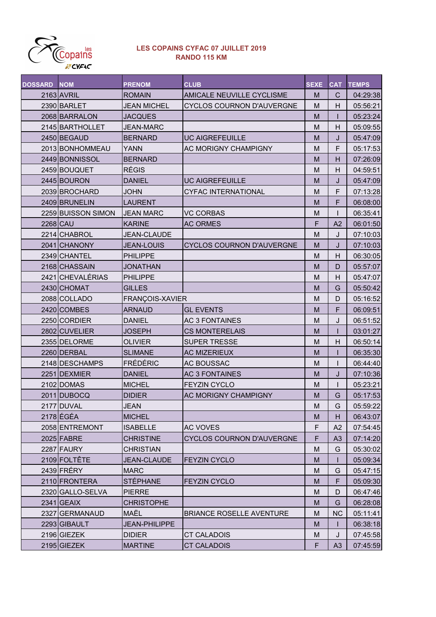

## LES COPAINS CYFAC 07 JUILLET 2019 RANDO 115 KM

| <b>DOSSARD</b>  | <b>NOM</b>         | <b>PRENOM</b>        | <b>CLUB</b>                      | <b>SEXE</b> | <b>CAT</b>     | <b>TEMPS</b> |
|-----------------|--------------------|----------------------|----------------------------------|-------------|----------------|--------------|
|                 | 2163 AVRIL         | <b>ROMAIN</b>        | AMICALE NEUVILLE CYCLISME        | M           | $\mathsf{C}$   | 04:29:38     |
|                 | 2390 BARLET        | <b>JEAN MICHEL</b>   | <b>CYCLOS COURNON D'AUVERGNE</b> | M           | H              | 05:56:21     |
|                 | 2068 BARRALON      | <b>JACQUES</b>       |                                  | M           | $\mathsf{l}$   | 05:23:24     |
|                 | 2145 BARTHOLLET    | <b>JEAN-MARC</b>     |                                  | M           | H              | 05:09:55     |
|                 | 2450 BEGAUD        | <b>BERNARD</b>       | <b>UC AIGREFEUILLE</b>           | M           | J              | 05:47:09     |
|                 | 2013 BONHOMMEAU    | <b>YANN</b>          | <b>AC MORIGNY CHAMPIGNY</b>      | M           | F              | 05:17:53     |
|                 | 2449 BONNISSOL     | <b>BERNARD</b>       |                                  | M           | H              | 07:26:09     |
|                 | 2459 BOUQUET       | <b>RÉGIS</b>         |                                  | M           | H              | 04:59:51     |
|                 | 2445 BOURON        | <b>DANIEL</b>        | <b>UC AIGREFEUILLE</b>           | M           | J              | 05:47:09     |
|                 | 2039 BROCHARD      | <b>JOHN</b>          | <b>CYFAC INTERNATIONAL</b>       | M           | F              | 07:13:28     |
|                 | 2409 BRUNELIN      | <b>LAURENT</b>       |                                  | M           | F              | 06:08:00     |
|                 | 2259 BUISSON SIMON | <b>JEAN MARC</b>     | <b>VC CORBAS</b>                 | M           |                | 06:35:41     |
| <b>2268 CAU</b> |                    | <b>KARINE</b>        | <b>AC ORMES</b>                  | F           | A2             | 06:01:50     |
|                 | 2214 CHABROL       | <b>JEAN-CLAUDE</b>   |                                  | M           | J              | 07:10:03     |
|                 | 2041 CHANONY       | <b>JEAN-LOUIS</b>    | <b>CYCLOS COURNON D'AUVERGNE</b> | M           | J              | 07:10:03     |
|                 | 2349 CHANTEL       | <b>PHILIPPE</b>      |                                  | M           | H              | 06:30:05     |
|                 | 2168 CHASSAIN      | <b>JONATHAN</b>      |                                  | M           | D              | 05:57:07     |
|                 | 2421 CHEVALÉRIAS   | <b>PHILIPPE</b>      |                                  | M           | H              | 05:47:07     |
|                 | 2430 CHOMAT        | <b>GILLES</b>        |                                  | M           | G              | 05:50:42     |
|                 | 2088 COLLADO       | FRANÇOIS-XAVIER      |                                  | M           | D              | 05:16:52     |
|                 | 2420 COMBES        | <b>ARNAUD</b>        | <b>GL EVENTS</b>                 | M           | F              | 06:09:51     |
|                 | 2250 CORDIER       | <b>DANIEL</b>        | <b>AC 3 FONTAINES</b>            | M           | J              | 06:51:52     |
|                 | 2802 CUVELIER      | <b>JOSEPH</b>        | <b>CS MONTERELAIS</b>            | M           | ٠              | 03:01:27     |
|                 | 2355 DELORME       | <b>OLIVIER</b>       | <b>SUPER TRESSE</b>              | M           | H              | 06:50:14     |
|                 | 2260 DERBAL        | <b>SLIMANE</b>       | <b>AC MIZERIEUX</b>              | M           |                | 06:35:30     |
|                 | 2148 DESCHAMPS     | <b>FRÉDÉRIC</b>      | AC BOUSSAC                       | M           | ı              | 06:44:40     |
|                 | 2251 DEXMIER       | <b>DANIEL</b>        | <b>AC 3 FONTAINES</b>            | M           | J              | 07:10:36     |
|                 | 2102 DOMAS         | <b>MICHEL</b>        | <b>FEYZIN CYCLO</b>              | M           | $\mathbf{I}$   | 05:23:21     |
|                 | 2011 DUBOCQ        | <b>DIDIER</b>        | AC MORIGNY CHAMPIGNY             | M           | G              | 05:17:53     |
|                 | 2177 DUVAL         | <b>JEAN</b>          |                                  | M           | G              | 05:59:22     |
|                 | 2178 ÉGÉA          | <b>MICHEL</b>        |                                  | M           | H              | 06:43:07     |
|                 | 2058 ENTREMONT     | <b>ISABELLE</b>      | AC VOVES                         | F           | A2             | 07:54:45     |
|                 | 2025 FABRE         | <b>CHRISTINE</b>     | <b>CYCLOS COURNON D'AUVERGNE</b> | F           | A <sub>3</sub> | 07:14:20     |
|                 | 2287 FAURY         | <b>CHRISTIAN</b>     |                                  | M           | G              | 05:30:02     |
|                 | 2109 FOLTÊTE       | <b>JEAN-CLAUDE</b>   | <b>FEYZIN CYCLO</b>              | M           | $\mathbf{I}$   | 05:09:34     |
|                 | 2439 FRÉRY         | <b>MARC</b>          |                                  | M           | G              | 05:47:15     |
|                 | 2110 FRONTERA      | <b>STÉPHANE</b>      | <b>FEYZIN CYCLO</b>              | M           | F              | 05:09:30     |
|                 | 2320 GALLO-SELVA   | <b>PIERRE</b>        |                                  | M           | D              | 06:47:46     |
|                 | $2341$ GEAIX       | <b>CHRISTOPHE</b>    |                                  | M           | G              | 06:28:08     |
|                 | 2327 GERMANAUD     | MAËL                 | <b>BRIANCE ROSELLE AVENTURE</b>  | M           | <b>NC</b>      | 05:11:41     |
|                 | 2293 GIBAULT       | <b>JEAN-PHILIPPE</b> |                                  | M           | I.             | 06:38:18     |
|                 | 2196 GIEZEK        | <b>DIDIER</b>        | CT CALADOIS                      | M           | J              | 07:45:58     |
|                 | 2195 GIEZEK        | <b>MARTINE</b>       | <b>CT CALADOIS</b>               | F           | A3             | 07:45:59     |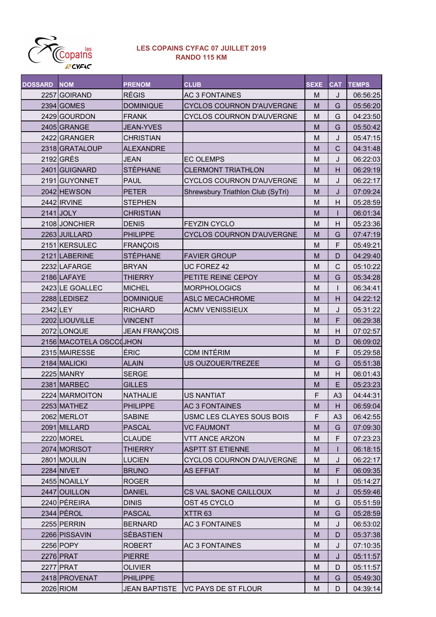

## LES COPAINS CYFAC 07 JUILLET 2019 RANDO 115 KM

| <b>DOSSARD</b> | <b>NOM</b>              | <b>PRENOM</b>        | <b>CLUB</b>                       | <b>SEXE</b> | <b>CAT</b>     | <b>TEMPS</b> |
|----------------|-------------------------|----------------------|-----------------------------------|-------------|----------------|--------------|
|                | 2257 GOIRAND            | <b>RÉGIS</b>         | <b>AC 3 FONTAINES</b>             | M           | J              | 06:56:25     |
|                | 2394 GOMES              | <b>DOMINIQUE</b>     | CYCLOS COURNON D'AUVERGNE         | M           | G              | 05:56:20     |
|                | 2429 GOURDON            | <b>FRANK</b>         | CYCLOS COURNON D'AUVERGNE         | M           | G              | 04:23:50     |
|                | 2405 GRANGE             | <b>JEAN-YVES</b>     |                                   | M           | G              | 05:50:42     |
|                | 2422 GRANGER            | <b>CHRISTIAN</b>     |                                   | M           | J              | 05:47:15     |
|                | 2318 GRATALOUP          | <b>ALEXANDRE</b>     |                                   | M           | $\mathsf{C}$   | 04:31:48     |
|                | 2192 GRÈS               | <b>JEAN</b>          | <b>EC OLEMPS</b>                  | M           | J              | 06:22:03     |
|                | 2401 GUIGNARD           | <b>STÉPHANE</b>      | <b>CLERMONT TRIATHLON</b>         | M           | H              | 06:29:19     |
|                | 2191 GUYONNET           | <b>PAUL</b>          | CYCLOS COURNON D'AUVERGNE         | M           | J              | 06:22:17     |
|                | 2042 HEWSON             | <b>PETER</b>         | Shrewsbury Triathlon Club (SyTri) | M           | J              | 07:09:24     |
|                | 2442 IRVINE             | <b>STEPHEN</b>       |                                   | M           | H              | 05:28:59     |
|                | 2141 JOLY               | <b>CHRISTIAN</b>     |                                   | M           |                | 06:01:34     |
|                | 2108 JONCHIER           | <b>DENIS</b>         | <b>FEYZIN CYCLO</b>               | M           | $\overline{H}$ | 05:23:36     |
|                | 2263 JUILLARD           | <b>PHILIPPE</b>      | <b>CYCLOS COURNON D'AUVERGNE</b>  | M           | G              | 07:47:19     |
|                | 2151 KERSULEC           | <b>FRANÇOIS</b>      |                                   | M           | F              | 05:49:21     |
|                | 2121 LABERINE           | <b>STÉPHANE</b>      | <b>FAVIER GROUP</b>               | M           | D              | 04:29:40     |
|                | 2232 LAFARGE            | <b>BRYAN</b>         | UC FOREZ 42                       | M           | $\mathsf{C}$   | 05:10:22     |
|                | 2186 LAFAYE             | THIERRY              | PETITE REINE CEPOY                | M           | G              | 05:34:28     |
|                | 2423 LE GOALLEC         | <b>MICHEL</b>        | <b>MORPHOLOGICS</b>               | M           |                | 06:34:41     |
|                | 2288 LEDISEZ            | <b>DOMINIQUE</b>     | <b>ASLC MECACHROME</b>            | M           | H              | 04:22:12     |
| 2342 LEY       |                         | <b>RICHARD</b>       | <b>ACMV VENISSIEUX</b>            | M           | J              | 05:31:22     |
|                | 2202 LIOUVILLE          | <b>VINCENT</b>       |                                   | M           | F              | 06:29:38     |
|                | 2072 LONQUE             | <b>JEAN FRANÇOIS</b> |                                   | M           | H              | 07:02:57     |
|                | 2156 MACOTELA OSCCOJHON |                      |                                   | M           | D              | 06:09:02     |
|                | 2315 MAIRESSE           | ÉRIC                 | CDM INTÉRIM                       | M           | F              | 05:29:58     |
|                | 2184 MALICKI            | <b>ALAIN</b>         | US OUZOUER/TREZEE                 | M           | G              | 05:51:38     |
|                | 2225 MANRY              | <b>SERGE</b>         |                                   | M           | H              | 06:01:43     |
|                | 2381 MARBEC             | <b>GILLES</b>        |                                   | M           | E              | 05:23:23     |
|                | 2224 MARMOITON          | <b>NATHALIE</b>      | <b>US NANTIAT</b>                 | F           | A <sub>3</sub> | 04:44:31     |
|                | 2253 MATHEZ             | <b>PHILIPPE</b>      | <b>AC 3 FONTAINES</b>             | M           | H              | 06:59:04     |
|                | 2062 MERLOT             | <b>SABINE</b>        | USMC LES CLAYES SOUS BOIS         | F           | A <sub>3</sub> | 06:42:55     |
|                | 2091 MILLARD            | <b>PASCAL</b>        | <b>VC FAUMONT</b>                 | M           | G              | 07:09:30     |
|                | 2220 MOREL              | <b>CLAUDE</b>        | <b>VTT ANCE ARZON</b>             | M           | F              | 07:23:23     |
|                | 2074 MORISOT            | THIERRY              | <b>ASPTT ST ETIENNE</b>           | M           |                | 06:18:15     |
|                | 2801 MOULIN             | <b>LUCIEN</b>        | <b>CYCLOS COURNON D'AUVERGNE</b>  | M           | J              | 06:22:17     |
|                | 2284 NIVET              | <b>BRUNO</b>         | AS EFFIAT                         | M           | F              | 06:09:35     |
|                | 2455 NOAILLY            | <b>ROGER</b>         |                                   | M           |                | 05:14:27     |
|                | 2447 OUILLON            | <b>DANIEL</b>        | CS VAL SAONE CAILLOUX             | M           | J              | 05:59:46     |
|                | 2240 PÉREIRA            | <b>DINIS</b>         | OST 45 CYCLO                      | M           | G              | 05:51:59     |
|                | 2344 PÉROL              | <b>PASCAL</b>        | XTTR <sub>63</sub>                | M           | G              | 05:28:59     |
|                | 2255 PERRIN             | <b>BERNARD</b>       | <b>AC 3 FONTAINES</b>             | M           | J              | 06:53:02     |
|                | 2266 PISSAVIN           | <b>SÉBASTIEN</b>     |                                   | M           | D              | 05:37:38     |
|                | 2256 POPY               | <b>ROBERT</b>        | AC 3 FONTAINES                    | M           | J              | 07:10:35     |
|                | 2276 PRAT               | <b>PIERRE</b>        |                                   | M           | J              | 05:11:57     |
|                | 2277 PRAT               | <b>OLIVIER</b>       |                                   | M           | D              | 05:11:57     |
|                | 2418 PROVENAT           | <b>PHILIPPE</b>      |                                   | M           | G              | 05:49:30     |
|                | 2026 RIOM               | <b>JEAN BAPTISTE</b> | VC PAYS DE ST FLOUR               | M           | D              | 04:39:14     |